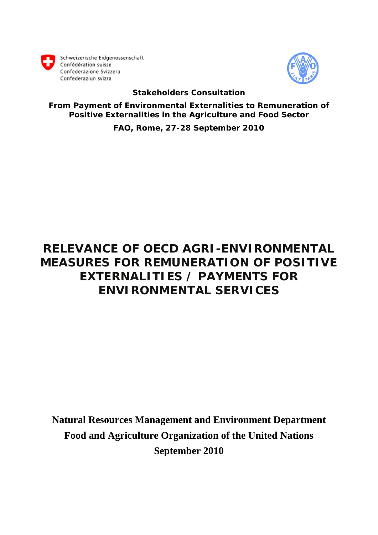



# **Stakeholders Consultation**

**From Payment of Environmental Externalities to Remuneration of Positive Externalities in the Agriculture and Food Sector**

**FAO, Rome, 27-28 September 2010** 

# **RELEVANCE OF OECD AGRI-ENVIRONMENTAL MEASURES FOR REMUNERATION OF POSITIVE EXTERNALITIES / PAYMENTS FOR ENVIRONMENTAL SERVICES**

**Natural Resources Management and Environment Department Food and Agriculture Organization of the United Nations September 2010**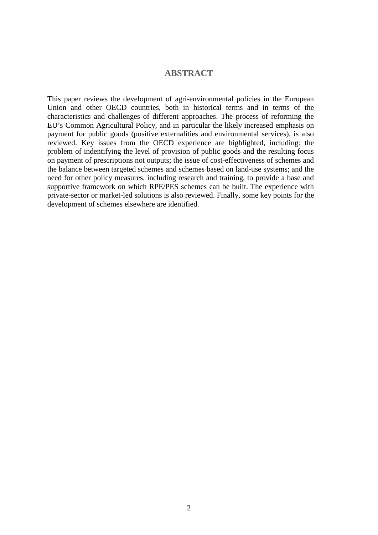## **ABSTRACT**

This paper reviews the development of agri-environmental policies in the European Union and other OECD countries, both in historical terms and in terms of the characteristics and challenges of different approaches. The process of reforming the EU's Common Agricultural Policy, and in particular the likely increased emphasis on payment for public goods (positive externalities and environmental services), is also reviewed. Key issues from the OECD experience are highlighted, including: the problem of indentifying the level of provision of public goods and the resulting focus on payment of prescriptions not outputs; the issue of cost-effectiveness of schemes and the balance between targeted schemes and schemes based on land-use systems; and the need for other policy measures, including research and training, to provide a base and supportive framework on which RPE/PES schemes can be built. The experience with private-sector or market-led solutions is also reviewed. Finally, some key points for the development of schemes elsewhere are identified.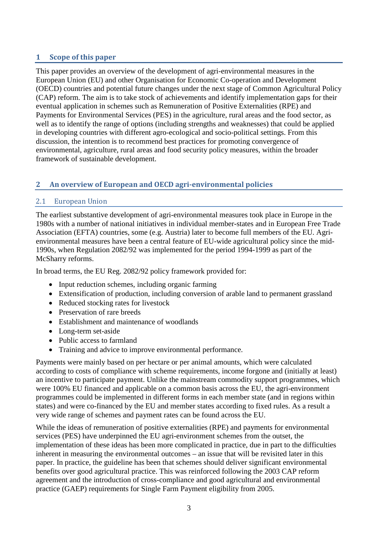# **1 Scope of this paper**

This paper provides an overview of the development of agri-environmental measures in the European Union (EU) and other Organisation for Economic Co-operation and Development (OECD) countries and potential future changes under the next stage of Common Agricultural Policy (CAP) reform. The aim is to take stock of achievements and identify implementation gaps for their eventual application in schemes such as Remuneration of Positive Externalities (RPE) and Payments for Environmental Services (PES) in the agriculture, rural areas and the food sector, as well as to identify the range of options (including strengths and weaknesses) that could be applied in developing countries with different agro-ecological and socio-political settings. From this discussion, the intention is to recommend best practices for promoting convergence of environmental, agriculture, rural areas and food security policy measures, within the broader framework of sustainable development.

## **2 An overview of European and OECD agri-environmental policies**

## 2.1 European Union

The earliest substantive development of agri-environmental measures took place in Europe in the 1980s with a number of national initiatives in individual member-states and in European Free Trade Association (EFTA) countries, some (e.g. Austria) later to become full members of the EU. Agrienvironmental measures have been a central feature of EU-wide agricultural policy since the mid-1990s, when Regulation 2082/92 was implemented for the period 1994-1999 as part of the McSharry reforms.

In broad terms, the EU Reg. 2082/92 policy framework provided for:

- Input reduction schemes, including organic farming
- Extensification of production, including conversion of arable land to permanent grassland
- Reduced stocking rates for livestock
- Preservation of rare breeds
- Establishment and maintenance of woodlands
- Long-term set-aside
- Public access to farmland
- Training and advice to improve environmental performance.

Payments were mainly based on per hectare or per animal amounts, which were calculated according to costs of compliance with scheme requirements, income forgone and (initially at least) an incentive to participate payment. Unlike the mainstream commodity support programmes, which were 100% EU financed and applicable on a common basis across the EU, the agri-environment programmes could be implemented in different forms in each member state (and in regions within states) and were co-financed by the EU and member states according to fixed rules. As a result a very wide range of schemes and payment rates can be found across the EU.

While the ideas of remuneration of positive externalities (RPE) and payments for environmental services (PES) have underpinned the EU agri-environment schemes from the outset, the implementation of these ideas has been more complicated in practice, due in part to the difficulties inherent in measuring the environmental outcomes – an issue that will be revisited later in this paper. In practice, the guideline has been that schemes should deliver significant environmental benefits over good agricultural practice. This was reinforced following the 2003 CAP reform agreement and the introduction of cross-compliance and good agricultural and environmental practice (GAEP) requirements for Single Farm Payment eligibility from 2005.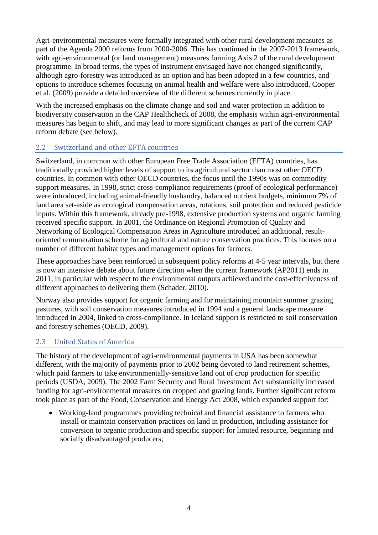Agri-environmental measures were formally integrated with other rural development measures as part of the Agenda 2000 reforms from 2000-2006. This has continued in the 2007-2013 framework, with agri-environmental (or land management) measures forming Axis 2 of the rural development programme. In broad terms, the types of instrument envisaged have not changed significantly, although agro-forestry was introduced as an option and has been adopted in a few countries, and options to introduce schemes focusing on animal health and welfare were also introduced. Cooper et al. (2009) provide a detailed overview of the different schemes currently in place.

With the increased emphasis on the climate change and soil and water protection in addition to biodiversity conservation in the CAP Healthcheck of 2008, the emphasis within agri-environmental measures has begun to shift, and may lead to more significant changes as part of the current CAP reform debate (see below).

## 2.2 Switzerland and other EFTA countries

Switzerland, in common with other European Free Trade Association (EFTA) countries, has traditionally provided higher levels of support to its agricultural sector than most other OECD countries. In common with other OECD countries, the focus until the 1990s was on commodity support measures. In 1998, strict cross-compliance requirements (proof of ecological performance) were introduced, including animal-friendly husbandry, balanced nutrient budgets, minimum 7% of land area set-aside as ecological compensation areas, rotations, soil protection and reduced pesticide inputs. Within this framework, already pre-1998, extensive production systems and organic farming received specific support. In 2001, the Ordinance on Regional Promotion of Quality and Networking of Ecological Compensation Areas in Agriculture introduced an additional, resultoriented remuneration scheme for agricultural and nature conservation practices. This focuses on a number of different habitat types and management options for farmers.

These approaches have been reinforced in subsequent policy reforms at 4-5 year intervals, but there is now an intensive debate about future direction when the current framework (AP2011) ends in 2011, in particular with respect to the environmental outputs achieved and the cost-effectiveness of different approaches to delivering them (Schader, 2010).

Norway also provides support for organic farming and for maintaining mountain summer grazing pastures, with soil conservation measures introduced in 1994 and a general landscape measure introduced in 2004, linked to cross-compliance. In Iceland support is restricted to soil conservation and forestry schemes (OECD, 2009).

## 2.3 United States of America

The history of the development of agri-environmental payments in USA has been somewhat different, with the majority of payments prior to 2002 being devoted to land retirement schemes, which paid farmers to take environmentally-sensitive land out of crop production for specific periods (USDA, 2009). The 2002 Farm Security and Rural Investment Act substantially increased funding for agri-environmental measures on cropped and grazing lands. Further significant reform took place as part of the Food, Conservation and Energy Act 2008, which expanded support for:

• Working-land programmes providing technical and financial assistance to farmers who install or maintain conservation practices on land in production, including assistance for conversion to organic production and specific support for limited resource, beginning and socially disadvantaged producers;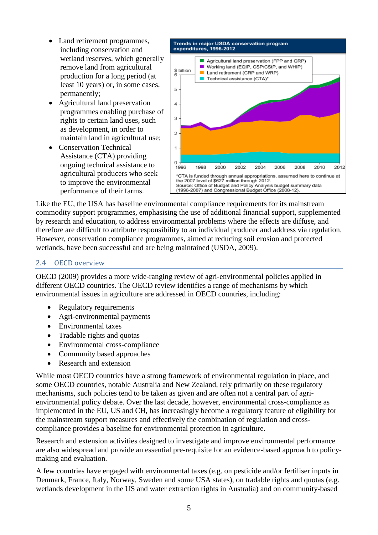- Land retirement programmes, including conservation and wetland reserves, which generally remove land from agricultural production for a long period (at least 10 years) or, in some cases, permanently;
- Agricultural land preservation programmes enabling purchase of rights to certain land uses, such as development, in order to maintain land in agricultural use;
- Conservation Technical [Assistance \(CTA\)](http://www.nrcs.usda.gov/programs/cta/) providing ongoing technical assistance to agricultural producers who seek to improve the environmental performance of their farms.



Like the EU, the USA has baseline environmental compliance requirements for its mainstream commodity support programmes, emphasising the use of additional financial support, supplemented by research and education, to address environmental problems where the effects are diffuse, and therefore are difficult to attribute responsibility to an individual producer and address via regulation. However, conservation compliance programmes, aimed at reducing soil erosion and protected wetlands, have been successful and are being maintained (USDA, 2009).

#### 2.4 OECD overview

OECD (2009) provides a more wide-ranging review of agri-environmental policies applied in different OECD countries. The OECD review identifies a range of mechanisms by which environmental issues in agriculture are addressed in OECD countries, including:

- Regulatory requirements
- Agri-environmental payments
- Environmental taxes
- Tradable rights and quotas
- Environmental cross-compliance
- Community based approaches
- Research and extension

While most OECD countries have a strong framework of environmental regulation in place, and some OECD countries, notable Australia and New Zealand, rely primarily on these regulatory mechanisms, such policies tend to be taken as given and are often not a central part of agrienvironmental policy debate. Over the last decade, however, environmental cross-compliance as implemented in the EU, US and CH, has increasingly become a regulatory feature of eligibility for the mainstream support measures and effectively the combination of regulation and crosscompliance provides a baseline for environmental protection in agriculture.

Research and extension activities designed to investigate and improve environmental performance are also widespread and provide an essential pre-requisite for an evidence-based approach to policymaking and evaluation.

A few countries have engaged with environmental taxes (e.g. on pesticide and/or fertiliser inputs in Denmark, France, Italy, Norway, Sweden and some USA states), on tradable rights and quotas (e.g. wetlands development in the US and water extraction rights in Australia) and on community-based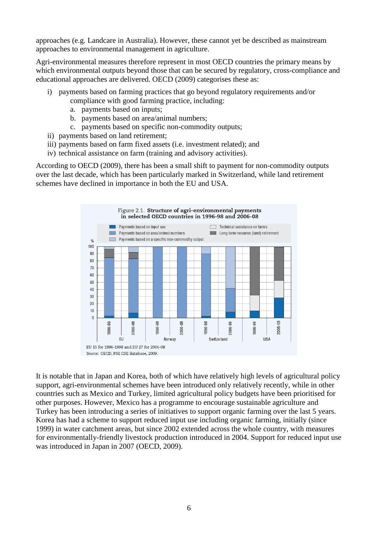approaches (e.g. Landcare in Australia). However, these cannot yet be described as mainstream approaches to environmental management in agriculture.

Agri-environmental measures therefore represent in most OECD countries the primary means by which environmental outputs beyond those that can be secured by regulatory, cross-compliance and educational approaches are delivered. OECD (2009) categorises these as:

- i) payments based on farming practices that go beyond regulatory requirements and/or compliance with good farming practice, including:
	- a. payments based on inputs;
	- b. payments based on area/animal numbers;
	- c. payments based on specific non-commodity outputs;
- ii) payments based on land retirement;
- iii) payments based on farm fixed assets (i.e. investment related); and
- iv) technical assistance on farm (training and advisory activities).

According to OECD (2009), there has been a small shift to payment for non-commodity outputs over the last decade, which has been particularly marked in Switzerland, while land retirement schemes have declined in importance in both the EU and USA.



It is notable that in Japan and Korea, both of which have relatively high levels of agricultural policy support, agri-environmental schemes have been introduced only relatively recently, while in other countries such as Mexico and Turkey, limited agricultural policy budgets have been prioritised for other purposes. However, Mexico has a programme to encourage sustainable agriculture and Turkey has been introducing a series of initiatives to support organic farming over the last 5 years. Korea has had a scheme to support reduced input use including organic farming, initially (since 1999) in water catchment areas, but since 2002 extended across the whole country, with measures for environmentally-friendly livestock production introduced in 2004. Support for reduced input use was introduced in Japan in 2007 (OECD, 2009).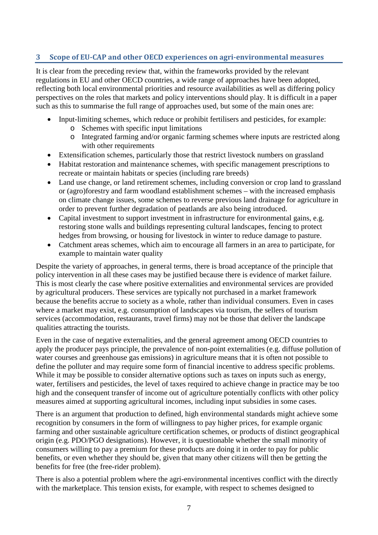# **3 Scope of EU-CAP and other OECD experiences on agri-environmental measures**

It is clear from the preceding review that, within the frameworks provided by the relevant regulations in EU and other OECD countries, a wide range of approaches have been adopted, reflecting both local environmental priorities and resource availabilities as well as differing policy perspectives on the roles that markets and policy interventions should play. It is difficult in a paper such as this to summarise the full range of approaches used, but some of the main ones are:

- Input-limiting schemes, which reduce or prohibit fertilisers and pesticides, for example:
	- o Schemes with specific input limitations
	- o Integrated farming and/or organic farming schemes where inputs are restricted along with other requirements
- Extensification schemes, particularly those that restrict livestock numbers on grassland
- Habitat restoration and maintenance schemes, with specific management prescriptions to recreate or maintain habitats or species (including rare breeds)
- Land use change, or land retirement schemes, including conversion or crop land to grassland or (agro)forestry and farm woodland establishment schemes – with the increased emphasis on climate change issues, some schemes to reverse previous land drainage for agriculture in order to prevent further degradation of peatlands are also being introduced.
- Capital investment to support investment in infrastructure for environmental gains, e.g. restoring stone walls and buildings representing cultural landscapes, fencing to protect hedges from browsing, or housing for livestock in winter to reduce damage to pasture.
- Catchment areas schemes, which aim to encourage all farmers in an area to participate, for example to maintain water quality

Despite the variety of approaches, in general terms, there is broad acceptance of the principle that policy intervention in all these cases may be justified because there is evidence of market failure. This is most clearly the case where positive externalities and environmental services are provided by agricultural producers. These services are typically not purchased in a market framework because the benefits accrue to society as a whole, rather than individual consumers. Even in cases where a market may exist, e.g. consumption of landscapes via tourism, the sellers of tourism services (accommodation, restaurants, travel firms) may not be those that deliver the landscape qualities attracting the tourists.

Even in the case of negative externalities, and the general agreement among OECD countries to apply the producer pays principle, the prevalence of non-point externalities (e.g. diffuse pollution of water courses and greenhouse gas emissions) in agriculture means that it is often not possible to define the polluter and may require some form of financial incentive to address specific problems. While it may be possible to consider alternative options such as taxes on inputs such as energy, water, fertilisers and pesticides, the level of taxes required to achieve change in practice may be too high and the consequent transfer of income out of agriculture potentially conflicts with other policy measures aimed at supporting agricultural incomes, including input subsidies in some cases.

There is an argument that production to defined, high environmental standards might achieve some recognition by consumers in the form of willingness to pay higher prices, for example organic farming and other sustainable agriculture certification schemes, or products of distinct geographical origin (e.g. PDO/PGO designations). However, it is questionable whether the small minority of consumers willing to pay a premium for these products are doing it in order to pay for public benefits, or even whether they should be, given that many other citizens will then be getting the benefits for free (the free-rider problem).

There is also a potential problem where the agri-environmental incentives conflict with the directly with the marketplace. This tension exists, for example, with respect to schemes designed to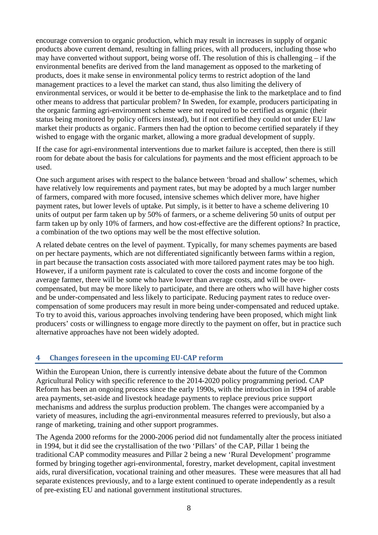encourage conversion to organic production, which may result in increases in supply of organic products above current demand, resulting in falling prices, with all producers, including those who may have converted without support, being worse off. The resolution of this is challenging – if the environmental benefits are derived from the land management as opposed to the marketing of products, does it make sense in environmental policy terms to restrict adoption of the land management practices to a level the market can stand, thus also limiting the delivery of environmental services, or would it be better to de-emphasise the link to the marketplace and to find other means to address that particular problem? In Sweden, for example, producers participating in the organic farming agri-environment scheme were not required to be certified as organic (their status being monitored by policy officers instead), but if not certified they could not under EU law market their products as organic. Farmers then had the option to become certified separately if they wished to engage with the organic market, allowing a more gradual development of supply.

If the case for agri-environmental interventions due to market failure is accepted, then there is still room for debate about the basis for calculations for payments and the most efficient approach to be used.

One such argument arises with respect to the balance between 'broad and shallow' schemes, which have relatively low requirements and payment rates, but may be adopted by a much larger number of farmers, compared with more focused, intensive schemes which deliver more, have higher payment rates, but lower levels of uptake. Put simply, is it better to have a scheme delivering 10 units of output per farm taken up by 50% of farmers, or a scheme delivering 50 units of output per farm taken up by only 10% of farmers, and how cost-effective are the different options? In practice, a combination of the two options may well be the most effective solution.

A related debate centres on the level of payment. Typically, for many schemes payments are based on per hectare payments, which are not differentiated significantly between farms within a region, in part because the transaction costs associated with more tailored payment rates may be too high. However, if a uniform payment rate is calculated to cover the costs and income forgone of the average farmer, there will be some who have lower than average costs, and will be overcompensated, but may be more likely to participate, and there are others who will have higher costs and be under-compensated and less likely to participate. Reducing payment rates to reduce overcompensation of some producers may result in more being under-compensated and reduced uptake. To try to avoid this, various approaches involving tendering have been proposed, which might link producers' costs or willingness to engage more directly to the payment on offer, but in practice such alternative approaches have not been widely adopted.

## **4 Changes foreseen in the upcoming EU-CAP reform**

Within the European Union, there is currently intensive debate about the future of the Common Agricultural Policy with specific reference to the 2014-2020 policy programming period. CAP Reform has been an ongoing process since the early 1990s, with the introduction in 1994 of arable area payments, set-aside and livestock headage payments to replace previous price support mechanisms and address the surplus production problem. The changes were accompanied by a variety of measures, including the agri-environmental measures referred to previously, but also a range of marketing, training and other support programmes.

The Agenda 2000 reforms for the 2000-2006 period did not fundamentally alter the process initiated in 1994, but it did see the crystallisation of the two 'Pillars' of the CAP, Pillar 1 being the traditional CAP commodity measures and Pillar 2 being a new 'Rural Development' programme formed by bringing together agri-environmental, forestry, market development, capital investment aids, rural diversification, vocational training and other measures. These were measures that all had separate existences previously, and to a large extent continued to operate independently as a result of pre-existing EU and national government institutional structures.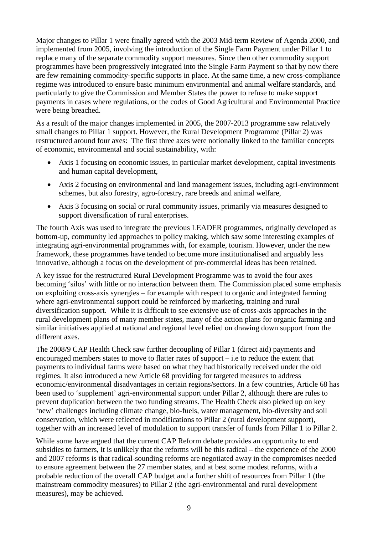Major changes to Pillar 1 were finally agreed with the 2003 Mid-term Review of Agenda 2000, and implemented from 2005, involving the introduction of the Single Farm Payment under Pillar 1 to replace many of the separate commodity support measures. Since then other commodity support programmes have been progressively integrated into the Single Farm Payment so that by now there are few remaining commodity-specific supports in place. At the same time, a new cross-compliance regime was introduced to ensure basic minimum environmental and animal welfare standards, and particularly to give the Commission and Member States the power to refuse to make support payments in cases where regulations, or the codes of Good Agricultural and Environmental Practice were being breached.

As a result of the major changes implemented in 2005, the 2007-2013 programme saw relatively small changes to Pillar 1 support. However, the Rural Development Programme (Pillar 2) was restructured around four axes: The first three axes were notionally linked to the familiar concepts of economic, environmental and social sustainability, with:

- Axis 1 focusing on economic issues, in particular market development, capital investments and human capital development,
- Axis 2 focusing on environmental and land management issues, including agri-environment schemes, but also forestry, agro-forestry, rare breeds and animal welfare,
- Axis 3 focusing on social or rural community issues, primarily via measures designed to support diversification of rural enterprises.

The fourth Axis was used to integrate the previous LEADER programmes, originally developed as bottom-up, community led approaches to policy making, which saw some interesting examples of integrating agri-environmental programmes with, for example, tourism. However, under the new framework, these programmes have tended to become more institutionalised and arguably less innovative, although a focus on the development of pre-commercial ideas has been retained.

A key issue for the restructured Rural Development Programme was to avoid the four axes becoming 'silos' with little or no interaction between them. The Commission placed some emphasis on exploiting cross-axis synergies – for example with respect to organic and integrated farming where agri-environmental support could be reinforced by marketing, training and rural diversification support. While it is difficult to see extensive use of cross-axis approaches in the rural development plans of many member states, many of the action plans for organic farming and similar initiatives applied at national and regional level relied on drawing down support from the different axes.

The 2008/9 CAP Health Check saw further decoupling of Pillar 1 (direct aid) payments and encouraged members states to move to flatter rates of support – i.e to reduce the extent that payments to individual farms were based on what they had historically received under the old regimes. It also introduced a new Article 68 providing for targeted measures to address economic/environmental disadvantages in certain regions/sectors. In a few countries, Article 68 has been used to 'supplement' agri-environmental support under Pillar 2, although there are rules to prevent duplication between the two funding streams. The Health Check also picked up on key 'new' challenges including climate change, bio-fuels, water management, bio-diversity and soil conservation, which were reflected in modifications to Pillar 2 (rural development support), together with an increased level of modulation to support transfer of funds from Pillar 1 to Pillar 2.

While some have argued that the current CAP Reform debate provides an opportunity to end subsidies to farmers, it is unlikely that the reforms will be this radical – the experience of the 2000 and 2007 reforms is that radical-sounding reforms are negotiated away in the compromises needed to ensure agreement between the 27 member states, and at best some modest reforms, with a probable reduction of the overall CAP budget and a further shift of resources from Pillar 1 (the mainstream commodity measures) to Pillar 2 (the agri-environmental and rural development measures), may be achieved.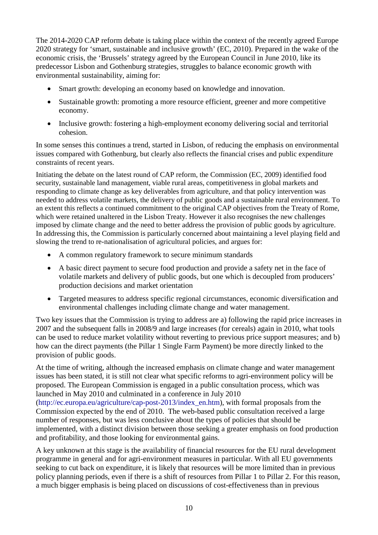The 2014-2020 CAP reform debate is taking place within the context of the recently agreed Europe 2020 strategy for 'smart, sustainable and inclusive growth' (EC, 2010). Prepared in the wake of the economic crisis, the 'Brussels' strategy agreed by the European Council in June 2010, like its predecessor Lisbon and Gothenburg strategies, struggles to balance economic growth with environmental sustainability, aiming for:

- Smart growth: developing an economy based on knowledge and innovation.
- Sustainable growth: promoting a more resource efficient, greener and more competitive economy.
- Inclusive growth: fostering a high-employment economy delivering social and territorial cohesion.

In some senses this continues a trend, started in Lisbon, of reducing the emphasis on environmental issues compared with Gothenburg, but clearly also reflects the financial crises and public expenditure constraints of recent years.

Initiating the debate on the latest round of CAP reform, the Commission (EC, 2009) identified food security, sustainable land management, viable rural areas, competitiveness in global markets and responding to climate change as key deliverables from agriculture, and that policy intervention was needed to address volatile markets, the delivery of public goods and a sustainable rural environment. To an extent this reflects a continued commitment to the original CAP objectives from the Treaty of Rome, which were retained unaltered in the Lisbon Treaty. However it also recognises the new challenges imposed by climate change and the need to better address the provision of public goods by agriculture. In addressing this, the Commission is particularly concerned about maintaining a level playing field and slowing the trend to re-nationalisation of agricultural policies, and argues for:

- A common regulatory framework to secure minimum standards
- A basic direct payment to secure food production and provide a safety net in the face of volatile markets and delivery of public goods, but one which is decoupled from producers' production decisions and market orientation
- Targeted measures to address specific regional circumstances, economic diversification and environmental challenges including climate change and water management.

Two key issues that the Commission is trying to address are a) following the rapid price increases in 2007 and the subsequent falls in 2008/9 and large increases (for cereals) again in 2010, what tools can be used to reduce market volatility without reverting to previous price support measures; and b) how can the direct payments (the Pillar 1 Single Farm Payment) be more directly linked to the provision of public goods.

At the time of writing, although the increased emphasis on climate change and water management issues has been stated, it is still not clear what specific reforms to agri-environment policy will be proposed. The European Commission is engaged in a public consultation process, which was launched in May 2010 and culminated in a conference in July 2010 [\(http://ec.europa.eu/agriculture/cap-post-2013/index\\_en.htm\)](http://ec.europa.eu/agriculture/cap-post-2013/index_en.htm), with formal proposals from the Commission expected by the end of 2010. The web-based public consultation received a large number of responses, but was less conclusive about the types of policies that should be implemented, with a distinct division between those seeking a greater emphasis on food production and profitability, and those looking for environmental gains.

A key unknown at this stage is the availability of financial resources for the EU rural development programme in general and for agri-environment measures in particular. With all EU governments seeking to cut back on expenditure, it is likely that resources will be more limited than in previous policy planning periods, even if there is a shift of resources from Pillar 1 to Pillar 2. For this reason, a much bigger emphasis is being placed on discussions of cost-effectiveness than in previous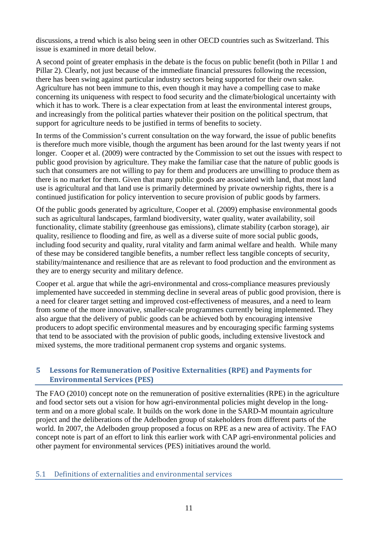discussions, a trend which is also being seen in other OECD countries such as Switzerland. This issue is examined in more detail below.

A second point of greater emphasis in the debate is the focus on public benefit (both in Pillar 1 and Pillar 2). Clearly, not just because of the immediate financial pressures following the recession, there has been swing against particular industry sectors being supported for their own sake. Agriculture has not been immune to this, even though it may have a compelling case to make concerning its uniqueness with respect to food security and the climate/biological uncertainty with which it has to work. There is a clear expectation from at least the environmental interest groups, and increasingly from the political parties whatever their position on the political spectrum, that support for agriculture needs to be justified in terms of benefits to society.

In terms of the Commission's current consultation on the way forward, the issue of public benefits is therefore much more visible, though the argument has been around for the last twenty years if not longer. Cooper et al. (2009) were contracted by the Commission to set out the issues with respect to public good provision by agriculture. They make the familiar case that the nature of public goods is such that consumers are not willing to pay for them and producers are unwilling to produce them as there is no market for them. Given that many public goods are associated with land, that most land use is agricultural and that land use is primarily determined by private ownership rights, there is a continued justification for policy intervention to secure provision of public goods by farmers.

Of the public goods generated by agriculture, Cooper et al. (2009) emphasise environmental goods such as agricultural landscapes, farmland biodiversity, water quality, water availability, soil functionality, climate stability (greenhouse gas emissions), climate stability (carbon storage), air quality, resilience to flooding and fire, as well as a diverse suite of more social public goods, including food security and quality, rural vitality and farm animal welfare and health. While many of these may be considered tangible benefits, a number reflect less tangible concepts of security, stability/maintenance and resilience that are as relevant to food production and the environment as they are to energy security and military defence.

Cooper et al. argue that while the agri-environmental and cross-compliance measures previously implemented have succeeded in stemming decline in several areas of public good provision, there is a need for clearer target setting and improved cost-effectiveness of measures, and a need to learn from some of the more innovative, smaller-scale programmes currently being implemented. They also argue that the delivery of public goods can be achieved both by encouraging intensive producers to adopt specific environmental measures and by encouraging specific farming systems that tend to be associated with the provision of public goods, including extensive livestock and mixed systems, the more traditional permanent crop systems and organic systems.

## **5 Lessons for Remuneration of Positive Externalities (RPE) and Payments for Environmental Services (PES)**

The FAO (2010) concept note on the remuneration of positive externalities (RPE) in the agriculture and food sector sets out a vision for how agri-environmental policies might develop in the longterm and on a more global scale. It builds on the work done in the SARD-M mountain agriculture project and the deliberations of the Adelboden group of stakeholders from different parts of the world. In 2007, the Adelboden group proposed a focus on RPE as a new area of activity. The FAO concept note is part of an effort to link this earlier work with CAP agri-environmental policies and other payment for environmental services (PES) initiatives around the world.

#### 5.1 Definitions of externalities and environmental services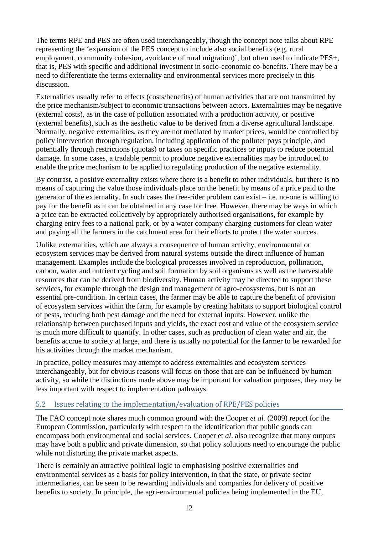The terms RPE and PES are often used interchangeably, though the concept note talks about RPE representing the 'expansion of the PES concept to include also social benefits (e.g. rural employment, community cohesion, avoidance of rural migration)', but often used to indicate PES+, that is, PES with specific and additional investment in socio-economic co-benefits. There may be a need to differentiate the terms externality and environmental services more precisely in this discussion.

Externalities usually refer to effects (costs/benefits) of human activities that are not transmitted by the price mechanism/subject to economic transactions between actors. Externalities may be negative (external costs), as in the case of pollution associated with a production activity, or positive (external benefits), such as the aesthetic value to be derived from a diverse agricultural landscape. Normally, negative externalities, as they are not mediated by market prices, would be controlled by policy intervention through regulation, including application of the polluter pays principle, and potentially through restrictions (quotas) or taxes on specific practices or inputs to reduce potential damage. In some cases, a tradable permit to produce negative externalities may be introduced to enable the price mechanism to be applied to regulating production of the negative externality.

By contrast, a positive externality exists where there is a benefit to other individuals, but there is no means of capturing the value those individuals place on the benefit by means of a price paid to the generator of the externality. In such cases the free-rider problem can exist – i.e. no-one is willing to pay for the benefit as it can be obtained in any case for free. However, there may be ways in which a price can be extracted collectively by appropriately authorised organisations, for example by charging entry fees to a national park, or by a water company charging customers for clean water and paying all the farmers in the catchment area for their efforts to protect the water sources.

Unlike externalities, which are always a consequence of human activity, environmental or ecosystem services may be derived from natural systems outside the direct influence of human management. Examples include the biological processes involved in reproduction, pollination, carbon, water and nutrient cycling and soil formation by soil organisms as well as the harvestable resources that can be derived from biodiversity. Human activity may be directed to support these services, for example through the design and management of agro-ecosystems, but is not an essential pre-condition. In certain cases, the farmer may be able to capture the benefit of provision of ecosystem services within the farm, for example by creating habitats to support biological control of pests, reducing both pest damage and the need for external inputs. However, unlike the relationship between purchased inputs and yields, the exact cost and value of the ecosystem service is much more difficult to quantify. In other cases, such as production of clean water and air, the benefits accrue to society at large, and there is usually no potential for the farmer to be rewarded for his activities through the market mechanism.

In practice, policy measures may attempt to address externalities and ecosystem services interchangeably, but for obvious reasons will focus on those that are can be influenced by human activity, so while the distinctions made above may be important for valuation purposes, they may be less important with respect to implementation pathways.

# 5.2 Issues relating to the implementation/evaluation of RPE/PES policies

The FAO concept note shares much common ground with the Cooper *et al.* (2009) report for the European Commission, particularly with respect to the identification that public goods can encompass both environmental and social services. Cooper et *al*. also recognize that many outputs may have both a public and private dimension, so that policy solutions need to encourage the public while not distorting the private market aspects.

There is certainly an attractive political logic to emphasising positive externalities and environmental services as a basis for policy intervention, in that the state, or private sector intermediaries, can be seen to be rewarding individuals and companies for delivery of positive benefits to society. In principle, the agri-environmental policies being implemented in the EU,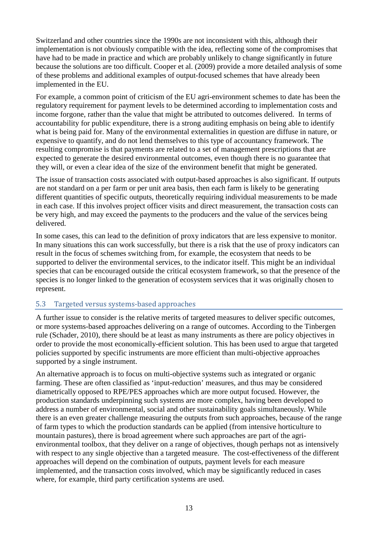Switzerland and other countries since the 1990s are not inconsistent with this, although their implementation is not obviously compatible with the idea, reflecting some of the compromises that have had to be made in practice and which are probably unlikely to change significantly in future because the solutions are too difficult. Cooper et al. (2009) provide a more detailed analysis of some of these problems and additional examples of output-focused schemes that have already been implemented in the EU.

For example, a common point of criticism of the EU agri-environment schemes to date has been the regulatory requirement for payment levels to be determined according to implementation costs and income forgone, rather than the value that might be attributed to outcomes delivered. In terms of accountability for public expenditure, there is a strong auditing emphasis on being able to identify what is being paid for. Many of the environmental externalities in question are diffuse in nature, or expensive to quantify, and do not lend themselves to this type of accountancy framework. The resulting compromise is that payments are related to a set of management prescriptions that are expected to generate the desired environmental outcomes, even though there is no guarantee that they will, or even a clear idea of the size of the environment benefit that might be generated.

The issue of transaction costs associated with output-based approaches is also significant. If outputs are not standard on a per farm or per unit area basis, then each farm is likely to be generating different quantities of specific outputs, theoretically requiring individual measurements to be made in each case. If this involves project officer visits and direct measurement, the transaction costs can be very high, and may exceed the payments to the producers and the value of the services being delivered.

In some cases, this can lead to the definition of proxy indicators that are less expensive to monitor. In many situations this can work successfully, but there is a risk that the use of proxy indicators can result in the focus of schemes switching from, for example, the ecosystem that needs to be supported to deliver the environmental services, to the indicator itself. This might be an individual species that can be encouraged outside the critical ecosystem framework, so that the presence of the species is no longer linked to the generation of ecosystem services that it was originally chosen to represent.

## 5.3 Targeted versus systems-based approaches

A further issue to consider is the relative merits of targeted measures to deliver specific outcomes, or more systems-based approaches delivering on a range of outcomes. According to the Tinbergen rule (Schader, 2010), there should be at least as many instruments as there are policy objectives in order to provide the most economically-efficient solution. This has been used to argue that targeted policies supported by specific instruments are more efficient than multi-objective approaches supported by a single instrument.

An alternative approach is to focus on multi-objective systems such as integrated or organic farming. These are often classified as 'input-reduction' measures, and thus may be considered diametrically opposed to RPE/PES approaches which are more output focused. However, the production standards underpinning such systems are more complex, having been developed to address a number of environmental, social and other sustainability goals simultaneously. While there is an even greater challenge measuring the outputs from such approaches, because of the range of farm types to which the production standards can be applied (from intensive horticulture to mountain pastures), there is broad agreement where such approaches are part of the agrienvironmental toolbox, that they deliver on a range of objectives, though perhaps not as intensively with respect to any single objective than a targeted measure. The cost-effectiveness of the different approaches will depend on the combination of outputs, payment levels for each measure implemented, and the transaction costs involved, which may be significantly reduced in cases where, for example, third party certification systems are used.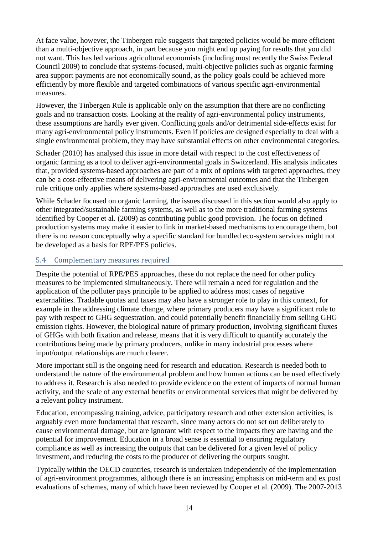At face value, however, the Tinbergen rule suggests that targeted policies would be more efficient than a multi-objective approach, in part because you might end up paying for results that you did not want. This has led various agricultural economists (including most recently the Swiss Federal Council 2009) to conclude that systems-focused, multi-objective policies such as organic farming area support payments are not economically sound, as the policy goals could be achieved more efficiently by more flexible and targeted combinations of various specific agri-environmental measures.

However, the Tinbergen Rule is applicable only on the assumption that there are no conflicting goals and no transaction costs. Looking at the reality of agri-environmental policy instruments, these assumptions are hardly ever given. Conflicting goals and/or detrimental side-effects exist for many agri-environmental policy instruments. Even if policies are designed especially to deal with a single environmental problem, they may have substantial effects on other environmental categories.

Schader (2010) has analysed this issue in more detail with respect to the cost effectiveness of organic farming as a tool to deliver agri-environmental goals in Switzerland. His analysis indicates that, provided systems-based approaches are part of a mix of options with targeted approaches, they can be a cost-effective means of delivering agri-environmental outcomes and that the Tinbergen rule critique only applies where systems-based approaches are used exclusively.

While Schader focused on organic farming, the issues discussed in this section would also apply to other integrated/sustainable farming systems, as well as to the more traditional farming systems identified by Cooper et al. (2009) as contributing public good provision. The focus on defined production systems may make it easier to link in market-based mechanisms to encourage them, but there is no reason conceptually why a specific standard for bundled eco-system services might not be developed as a basis for RPE/PES policies.

#### 5.4 Complementary measures required

Despite the potential of RPE/PES approaches, these do not replace the need for other policy measures to be implemented simultaneously. There will remain a need for regulation and the application of the polluter pays principle to be applied to address most cases of negative externalities. Tradable quotas and taxes may also have a stronger role to play in this context, for example in the addressing climate change, where primary producers may have a significant role to pay with respect to GHG sequestration, and could potentially benefit financially from selling GHG emission rights. However, the biological nature of primary production, involving significant fluxes of GHGs with both fixation and release, means that it is very difficult to quantify accurately the contributions being made by primary producers, unlike in many industrial processes where input/output relationships are much clearer.

More important still is the ongoing need for research and education. Research is needed both to understand the nature of the environmental problem and how human actions can be used effectively to address it. Research is also needed to provide evidence on the extent of impacts of normal human activity, and the scale of any external benefits or environmental services that might be delivered by a relevant policy instrument.

Education, encompassing training, advice, participatory research and other extension activities, is arguably even more fundamental that research, since many actors do not set out deliberately to cause environmental damage, but are ignorant with respect to the impacts they are having and the potential for improvement. Education in a broad sense is essential to ensuring regulatory compliance as well as increasing the outputs that can be delivered for a given level of policy investment, and reducing the costs to the producer of delivering the outputs sought.

Typically within the OECD countries, research is undertaken independently of the implementation of agri-environment programmes, although there is an increasing emphasis on mid-term and ex post evaluations of schemes, many of which have been reviewed by Cooper et al. (2009). The 2007-2013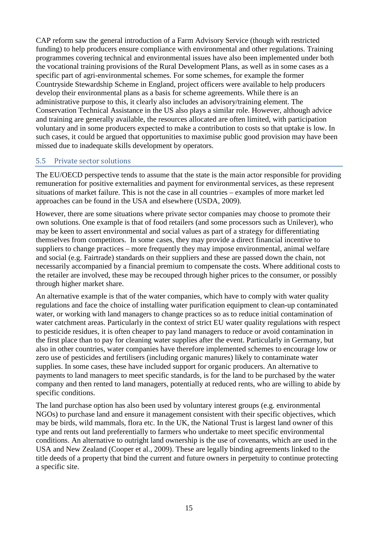CAP reform saw the general introduction of a Farm Advisory Service (though with restricted funding) to help producers ensure compliance with environmental and other regulations. Training programmes covering technical and environmental issues have also been implemented under both the vocational training provisions of the Rural Development Plans, as well as in some cases as a specific part of agri-environmental schemes. For some schemes, for example the former Countryside Stewardship Scheme in England, project officers were available to help producers develop their environmental plans as a basis for scheme agreements. While there is an administrative purpose to this, it clearly also includes an advisory/training element. The Conservation Technical Assistance in the US also plays a similar role. However, although advice and training are generally available, the resources allocated are often limited, with participation voluntary and in some producers expected to make a contribution to costs so that uptake is low. In such cases, it could be argued that opportunities to maximise public good provision may have been missed due to inadequate skills development by operators.

#### 5.5 Private sector solutions

The EU/OECD perspective tends to assume that the state is the main actor responsible for providing remuneration for positive externalities and payment for environmental services, as these represent situations of market failure. This is not the case in all countries – examples of more market led approaches can be found in the USA and elsewhere (USDA, 2009).

However, there are some situations where private sector companies may choose to promote their own solutions. One example is that of food retailers (and some processors such as Unilever), who may be keen to assert environmental and social values as part of a strategy for differentiating themselves from competitors. In some cases, they may provide a direct financial incentive to suppliers to change practices – more frequently they may impose environmental, animal welfare and social (e.g. Fairtrade) standards on their suppliers and these are passed down the chain, not necessarily accompanied by a financial premium to compensate the costs. Where additional costs to the retailer are involved, these may be recouped through higher prices to the consumer, or possibly through higher market share.

An alternative example is that of the water companies, which have to comply with water quality regulations and face the choice of installing water purification equipment to clean-up contaminated water, or working with land managers to change practices so as to reduce initial contamination of water catchment areas. Particularly in the context of strict EU water quality regulations with respect to pesticide residues, it is often cheaper to pay land managers to reduce or avoid contamination in the first place than to pay for cleaning water supplies after the event. Particularly in Germany, but also in other countries, water companies have therefore implemented schemes to encourage low or zero use of pesticides and fertilisers (including organic manures) likely to contaminate water supplies. In some cases, these have included support for organic producers. An alternative to payments to land managers to meet specific standards, is for the land to be purchased by the water company and then rented to land managers, potentially at reduced rents, who are willing to abide by specific conditions.

The land purchase option has also been used by voluntary interest groups (e.g. environmental NGOs) to purchase land and ensure it management consistent with their specific objectives, which may be birds, wild mammals, flora etc. In the UK, the National Trust is largest land owner of this type and rents out land preferentially to farmers who undertake to meet specific environmental conditions. An alternative to outright land ownership is the use of covenants, which are used in the USA and New Zealand (Cooper et al., 2009). These are legally binding agreements linked to the title deeds of a property that bind the current and future owners in perpetuity to continue protecting a specific site.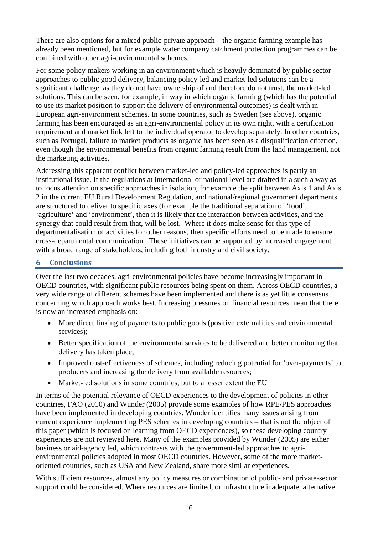There are also options for a mixed public-private approach – the organic farming example has already been mentioned, but for example water company catchment protection programmes can be combined with other agri-environmental schemes.

For some policy-makers working in an environment which is heavily dominated by public sector approaches to public good delivery, balancing policy-led and market-led solutions can be a significant challenge, as they do not have ownership of and therefore do not trust, the market-led solutions. This can be seen, for example, in way in which organic farming (which has the potential to use its market position to support the delivery of environmental outcomes) is dealt with in European agri-environment schemes. In some countries, such as Sweden (see above), organic farming has been encouraged as an agri-environmental policy in its own right, with a certification requirement and market link left to the individual operator to develop separately. In other countries, such as Portugal, failure to market products as organic has been seen as a disqualification criterion, even though the environmental benefits from organic farming result from the land management, not the marketing activities.

Addressing this apparent conflict between market-led and policy-led approaches is partly an institutional issue. If the regulations at international or national level are drafted in a such a way as to focus attention on specific approaches in isolation, for example the split between Axis 1 and Axis 2 in the current EU Rural Development Regulation, and national/regional government departments are structured to deliver to specific axes (for example the traditional separation of 'food', 'agriculture' and 'environment', then it is likely that the interaction between activities, and the synergy that could result from that, will be lost. Where it does make sense for this type of departmentalisation of activities for other reasons, then specific efforts need to be made to ensure cross-departmental communication. These initiatives can be supported by increased engagement with a broad range of stakeholders, including both industry and civil society.

#### **6 Conclusions**

Over the last two decades, agri-environmental policies have become increasingly important in OECD countries, with significant public resources being spent on them. Across OECD countries, a very wide range of different schemes have been implemented and there is as yet little consensus concerning which approach works best. Increasing pressures on financial resources mean that there is now an increased emphasis on:

- More direct linking of payments to public goods (positive externalities and environmental services);
- Better specification of the environmental services to be delivered and better monitoring that delivery has taken place;
- Improved cost-effectiveness of schemes, including reducing potential for 'over-payments' to producers and increasing the delivery from available resources;
- Market-led solutions in some countries, but to a lesser extent the EU

In terms of the potential relevance of OECD experiences to the development of policies in other countries, FAO (2010) and Wunder (2005) provide some examples of how RPE/PES approaches have been implemented in developing countries. Wunder identifies many issues arising from current experience implementing PES schemes in developing countries – that is not the object of this paper (which is focused on learning from OECD experiences), so these developing country experiences are not reviewed here. Many of the examples provided by Wunder (2005) are either business or aid-agency led, which contrasts with the government-led approaches to agrienvironmental policies adopted in most OECD countries. However, some of the more marketoriented countries, such as USA and New Zealand, share more similar experiences.

With sufficient resources, almost any policy measures or combination of public- and private-sector support could be considered. Where resources are limited, or infrastructure inadequate, alternative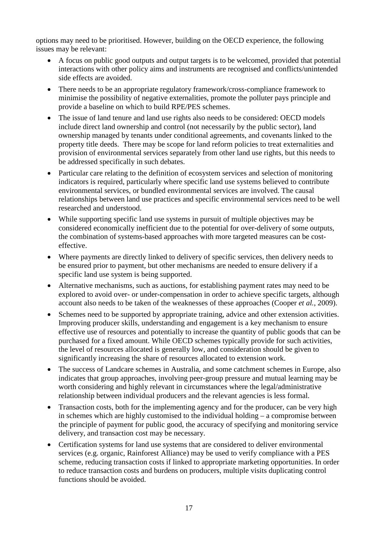options may need to be prioritised. However, building on the OECD experience, the following issues may be relevant:

- A focus on public good outputs and output targets is to be welcomed, provided that potential interactions with other policy aims and instruments are recognised and conflicts/unintended side effects are avoided.
- There needs to be an appropriate regulatory framework/cross-compliance framework to minimise the possibility of negative externalities, promote the polluter pays principle and provide a baseline on which to build RPE/PES schemes.
- The issue of land tenure and land use rights also needs to be considered: OECD models include direct land ownership and control (not necessarily by the public sector), land ownership managed by tenants under conditional agreements, and covenants linked to the property title deeds. There may be scope for land reform policies to treat externalities and provision of environmental services separately from other land use rights, but this needs to be addressed specifically in such debates.
- Particular care relating to the definition of ecosystem services and selection of monitoring indicators is required, particularly where specific land use systems believed to contribute environmental services, or bundled environmental services are involved. The causal relationships between land use practices and specific environmental services need to be well researched and understood.
- While supporting specific land use systems in pursuit of multiple objectives may be considered economically inefficient due to the potential for over-delivery of some outputs, the combination of systems-based approaches with more targeted measures can be costeffective.
- Where payments are directly linked to delivery of specific services, then delivery needs to be ensured prior to payment, but other mechanisms are needed to ensure delivery if a specific land use system is being supported.
- Alternative mechanisms, such as auctions, for establishing payment rates may need to be explored to avoid over- or under-compensation in order to achieve specific targets, although account also needs to be taken of the weaknesses of these approaches (Cooper *et al.*, 2009).
- Schemes need to be supported by appropriate training, advice and other extension activities. Improving producer skills, understanding and engagement is a key mechanism to ensure effective use of resources and potentially to increase the quantity of public goods that can be purchased for a fixed amount. While OECD schemes typically provide for such activities, the level of resources allocated is generally low, and consideration should be given to significantly increasing the share of resources allocated to extension work.
- The success of Landcare schemes in Australia, and some catchment schemes in Europe, also indicates that group approaches, involving peer-group pressure and mutual learning may be worth considering and highly relevant in circumstances where the legal/administrative relationship between individual producers and the relevant agencies is less formal.
- Transaction costs, both for the implementing agency and for the producer, can be very high in schemes which are highly customised to the individual holding – a compromise between the principle of payment for public good, the accuracy of specifying and monitoring service delivery, and transaction cost may be necessary.
- Certification systems for land use systems that are considered to deliver environmental services (e.g. organic, Rainforest Alliance) may be used to verify compliance with a PES scheme, reducing transaction costs if linked to appropriate marketing opportunities. In order to reduce transaction costs and burdens on producers, multiple visits duplicating control functions should be avoided.